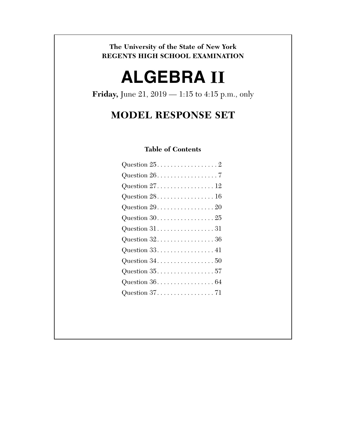**The University of the State of New York REGENTS HIGH SCHOOL EXAMINATION** 

# **ALGEBRA II**

**Friday,** June 21, 2019 — 1:15 to 4:15 p.m., only

# **MODEL RESPONSE SET**

# **Table of Contents**

| Question $25.$ 2                                            |
|-------------------------------------------------------------|
| Question $26. \ldots \ldots \ldots \ldots \ldots 7$         |
|                                                             |
| Question $28.$ 16                                           |
| Question $29. \ldots \ldots \ldots \ldots \ldots 20$        |
| Question $30. \ldots. \ldots. \ldots. \ldots. 25$           |
|                                                             |
| Question $32.0000000000000000000000$                        |
|                                                             |
| Question $34. \ldots \ldots \ldots \ldots \ldots 50$        |
| Question $35. 57$                                           |
| Question $36. \ldots \ldots \ldots \ldots \ldots \ldots 64$ |
| Question $37.$ 71                                           |
|                                                             |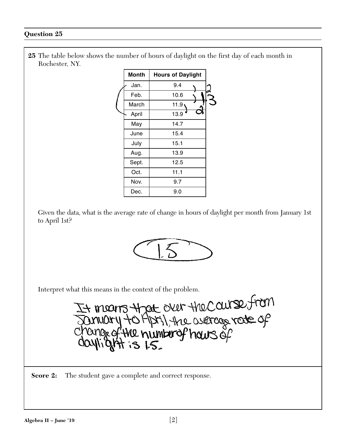| 25 The table below shows the number of hours of daylight on the first day of each month in |  |  |
|--------------------------------------------------------------------------------------------|--|--|
| Rochester, NY.                                                                             |  |  |

| Month | <b>Hours of Daylight</b> |  |
|-------|--------------------------|--|
| Jan.  | 9.4                      |  |
| Feb.  | 10.6                     |  |
| March | 11.9                     |  |
| April | 13.9                     |  |
| May   | 14.7                     |  |
| June  | 15.4                     |  |
| July  | 15.1                     |  |
| Aug.  | 13.9                     |  |
| Sept. | 12.5                     |  |
| Oct.  | 11.1                     |  |
| Nov.  | 9.7                      |  |
| Dec.  | 9.0                      |  |

Given the data, what is the average rate of change in hours of daylight per month from January 1st to April 1st?



Interpret what this means in the context of the problem.<br>
It means that over the Counse from<br>
January to fiptil the avercage rede of<br>
Change of the number of hours of<br>
Coulight is LS.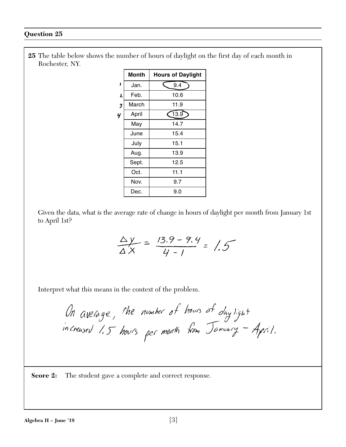|                         | Month | <b>Hours of Daylight</b> |
|-------------------------|-------|--------------------------|
| ł                       | Jan.  | 9.4                      |
| Σ                       | Feb.  | 10.6                     |
| $\overline{\mathbf{3}}$ | March | 11.9                     |
| 4                       | April | 13.9                     |
|                         | May   | 14.7                     |
|                         | June  | 15.4                     |
|                         | July  | 15.1                     |
|                         | Aug.  | 13.9                     |
|                         | Sept. | 12.5                     |
|                         | Oct.  | 11.1                     |
|                         | Nov.  | 9.7                      |
|                         | Dec.  | 9.0                      |

**25** The table below shows the number of hours of daylight on the first day of each month in Rochester, NY.

Given the data, what is the average rate of change in hours of daylight per month from January 1st to April 1st?

$$
\frac{\Delta y}{\Delta X} = \frac{13.9 - 9.4}{4 - 1} = 1.5
$$

Interpret what this means in the context of the problem.

On average, the number of hours of daylight<br>increased 1.5 hours per month from January - April.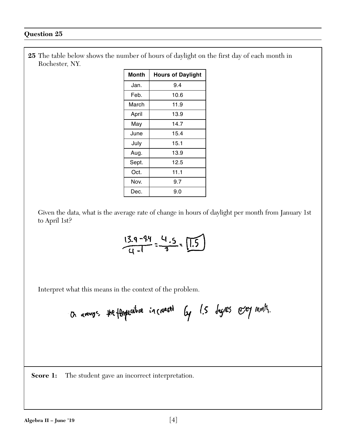| Month | <b>Hours of Daylight</b> |
|-------|--------------------------|
| Jan.  | 9.4                      |
| Feb.  | 10.6                     |
| March | 11.9                     |
| April | 13.9                     |
| May   | 14.7                     |
| June  | 15.4                     |
| July  | 15.1                     |
| Aug.  | 13.9                     |
| Sept. | 12.5                     |
| Oct.  | 11.1                     |
| Nov.  | 9.7                      |
| Dec.  | 9.0                      |

**25** The table below shows the number of hours of daylight on the first day of each month in Rochester, NY.

Given the data, what is the average rate of change in hours of daylight per month from January 1st to April 1st?

$$
\frac{13.9-94}{4-1}=\frac{4.5}{3}=\boxed{1.5}
$$

Interpret what this means in the context of the problem.

**Score 1:** The student gave an incorrect interpretation.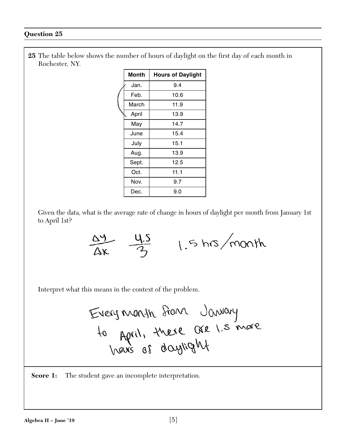| 25 The table below shows the number of hours of daylight on the first day of each month in |  |  |  |  |  |
|--------------------------------------------------------------------------------------------|--|--|--|--|--|
| Rochester, NY.                                                                             |  |  |  |  |  |

| Month | <b>Hours of Daylight</b> |
|-------|--------------------------|
| Jan.  | 9.4                      |
| Feb.  | 10.6                     |
| March | 11.9                     |
| April | 13.9                     |
| May   | 14.7                     |
| June  | 15.4                     |
| July  | 15.1                     |
| Aug.  | 13.9                     |
| Sept. | 12.5                     |
| Oct.  | 11.1                     |
| Nov.  | 9.7                      |
| Dec.  | 9.0                      |

Given the data, what is the average rate of change in hours of daylight per month from January 1st to April 1st?

$$
\frac{\Delta y}{\Delta x} = \frac{4.5}{3}
$$
 1.5  $h/s$  /month

Interpret what this means in the context of the problem.

**Score 1:** The student gave an incomplete interpretation.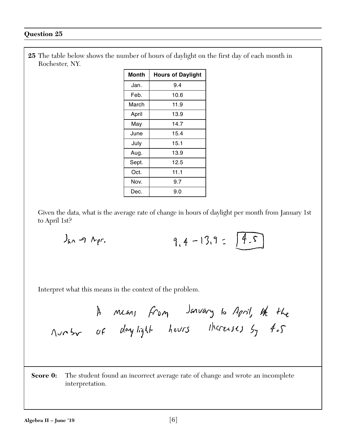| Month | <b>Hours of Daylight</b> |
|-------|--------------------------|
| Jan.  | 9.4                      |
| Feb.  | 10.6                     |
| March | 11.9                     |
| April | 13.9                     |
| May   | 14.7                     |
| June  | 15.4                     |
| July  | 15.1                     |
| Aug.  | 13.9                     |
| Sept. | 12.5                     |
| Oct.  | 11.1                     |
| Nov.  | 9.7                      |
| Dec.  | 9.0                      |

**25** The table below shows the number of hours of daylight on the first day of each month in Rochester, NY.

Given the data, what is the average rate of change in hours of daylight per month from January 1st to April 1st?

 $9,4-13.9 = 4.5$  $J_{\alpha\wedge} \neg\neg \wedge_{\beta}r$ .

Interpret what this means in the context of the problem.

A means from Janvary to April, the the<br>Number of daylight hours therewises by the

**Score 0:** The student found an incorrect average rate of change and wrote an incomplete interpretation.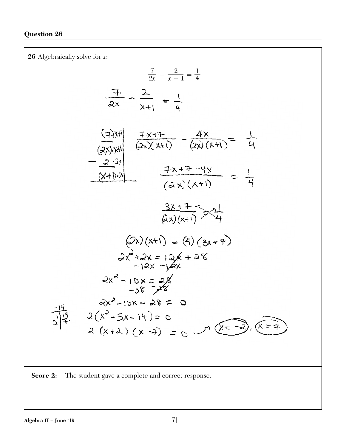**26** Algebraically solve for *x*:  $\frac{7}{2x} - \frac{2}{x+1} = \frac{1}{4}$ 4 $\frac{7}{2x} - \frac{2}{x+1} = \frac{1}{4}$ (7) xH<br>
(2x) x+1 - (2x) (x+1) = 4<br>
(2x) x+1 - 4x<br>
(2x) x+1 - 4x<br>
(2x) (x+1) = 4<br>
(2x) (x+1) = 4  $\frac{3x+7}{(2x)(x+1)}$  $(2x)(x+1) = (4)(3x+7)$  $2x^2+2x=12x+28$ <br>-12x -12x  $2x^2 - 10x = 2x$ <br>-28 -28  $2x^2-10x-28=0$  $\frac{14}{2|4}$   $2(x^2-5x-14)=0$  $2(x^2-5x-14)=0$ <br>  $2(x+2)(x-4)=0$   $\sqrt{2(-2)}$ , ≪=子 **Score 2:** The student gave a complete and correct response.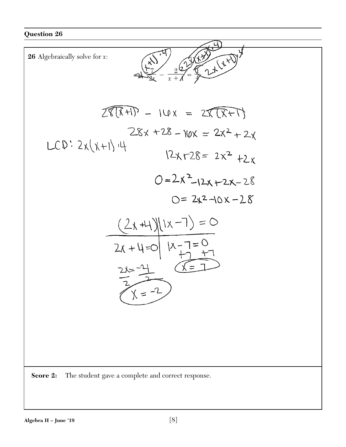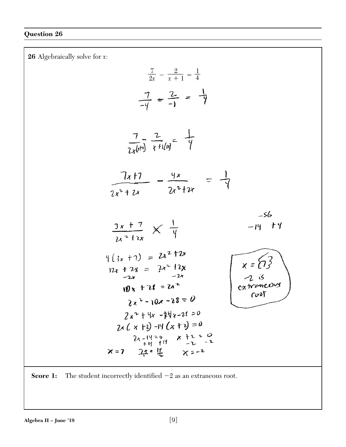**26** Algebraically solve for *x*:  $\frac{7}{2x} - \frac{2}{x+1} = \frac{1}{4}$ 4 $\frac{7}{-4}$  =  $\frac{2}{-1}$  =  $\frac{1}{4}$  $\frac{7}{2x(x+1)}$   $\frac{2}{x+1(x)} = \frac{1}{x}$  $\frac{7x+7}{2x^2+2x} - \frac{4x}{2x^2+2x} = \frac{1}{9}$  $-56$  $\frac{3x+7}{2x^2+2x} \times \frac{1}{4}$  $-14$  +4  $4(x+1) = 2x^2+2x$  $x = 23$ <br>  $2 \times 7$ <br>
extreme event  $y_x + 2y = 2x^2 + 2y$  $10x + 21 = 2x^2$  $2x^2-10x-28=0$  $2x^2 + 4x - 24x - 28 = 0$  $2x(x+y)-14(x+y)=0$  $2x-14=0$ <br>  $2x+14=0$ <br>  $x+2=0$ <br>  $x+2=0$ <br>  $-2=2$ <br>  $x=-2$  $x = 7$ 

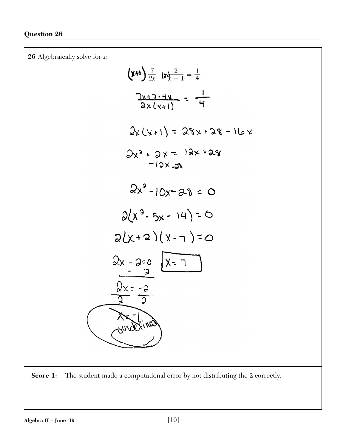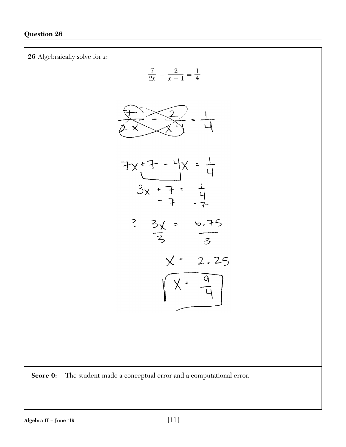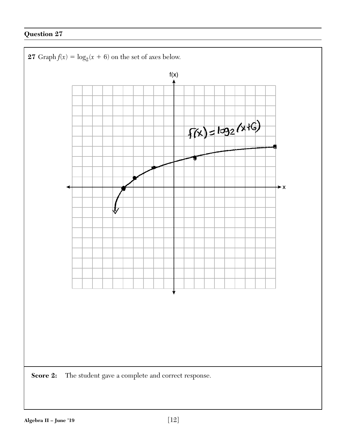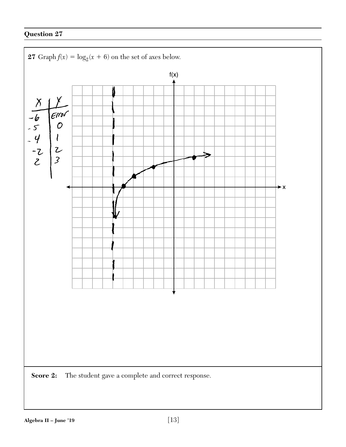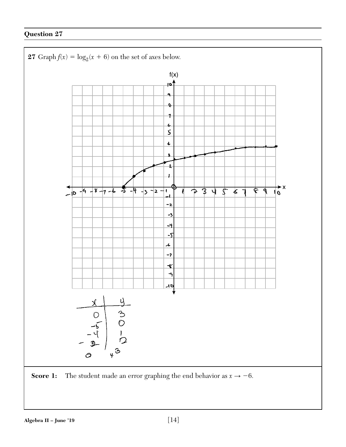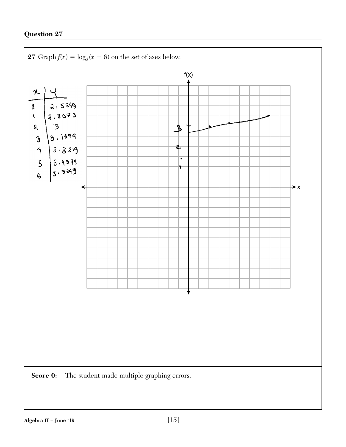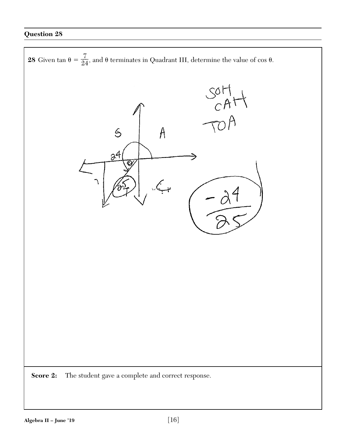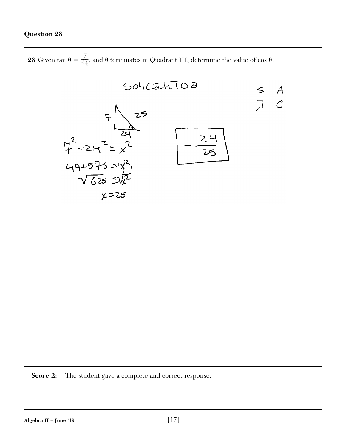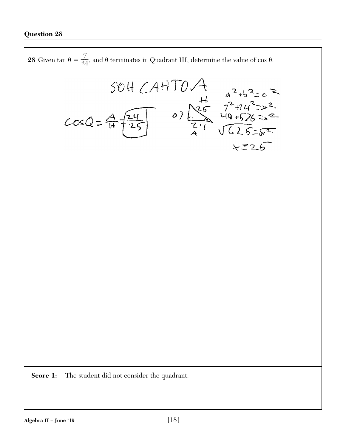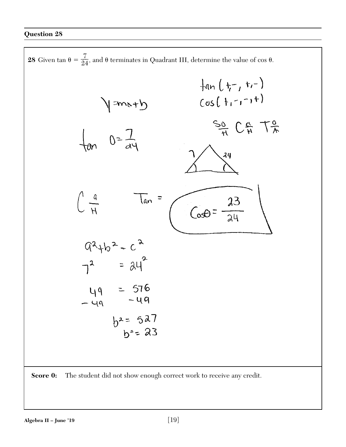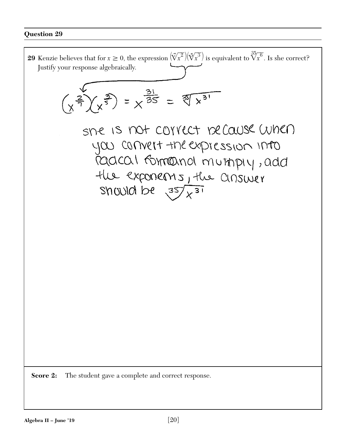**29** Kenzie believes that for  $x \ge 0$ , the expression  $(\sqrt[x]{x^2})(\sqrt[5]{x^3})$  is equivalent to  $\sqrt[35]{x^6}$ . Is she correct? Justify your response algebraically.  $\left(x^{\frac{1}{2}}\right)\left(x^{\frac{3}{2}}\right) = x^{\frac{3!}{35}} = \sqrt[3]{x^{3!}}$ sne is not correct be cause when you convert the expression into radcal formand muthply, add the exponents, the cinsuler should be  $35/x^{31}$ **Score 2:** The student gave a complete and correct response.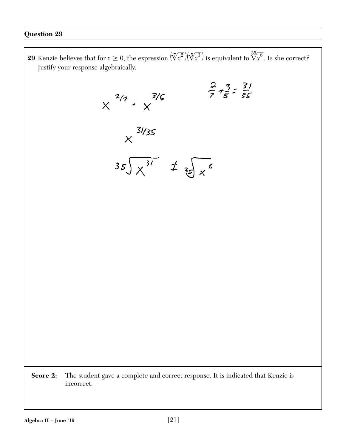**29** Kenzie believes that for  $x \ge 0$ , the expression  $(\sqrt[x]{x^2})(\sqrt[5]{x^3})$  is equivalent to  $\sqrt[35]{x^6}$ . Is she correct? Justify your response algebraically.  $\frac{2}{7} + \frac{3}{5} = \frac{31}{55}$  $x^{2/7}$  .  $x^{3/6}$  $x^{31/35}$  $35\sqrt{x^{31}}$   $4\sqrt[3]{x^{6}}$ Score 2: The student gave a complete and correct response. It is indicated that Kenzie is incorrect.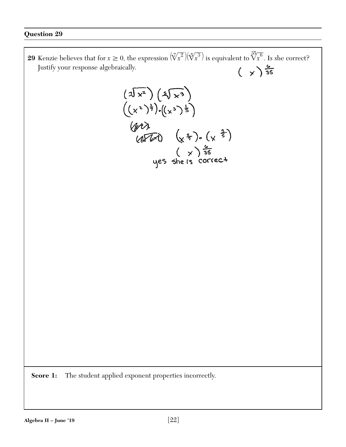**29** Kenzie believes that for  $x \ge 0$ , the expression  $(\sqrt[x]{x^2})(\sqrt[5]{x^3})$  is equivalent to  $\sqrt[35]{x^6}$ . Is she correct?  $\left(\begin{array}{c} \times \end{array}\right) \frac{6}{35}$ Justify your response algebraically.

 $\left(\sqrt[3]{x^2}\right)\left(\sqrt[3]{x^3}\right)$ <br>  $\left(\sqrt{x^2}\right)^{\frac{1}{7}}\cdot\left(\sqrt{x^3}\right)^{\frac{1}{5}}$ <br>  $\left(\sqrt[3]{x^2}\right)\left(\sqrt[3]{x^2}\right)\cdot\left(\sqrt[3]{x^2}\right)$ <br>  $\left(\sqrt[3]{x^2}\right)\cdot\left(\sqrt[3]{x^2}\right)$ <br>  $\left(\sqrt[3]{x^2}\right)\cdot\left(\sqrt[3]{x^2}\right)$ <br>  $\left(\sqrt[3]{x^2}\right)\cdot\left(\sqrt[3]{x^2}\right)$ <br>  $\left(\sqrt[3]{x^2}\right)\cdot\$ 

**Score 1:** The student applied exponent properties incorrectly.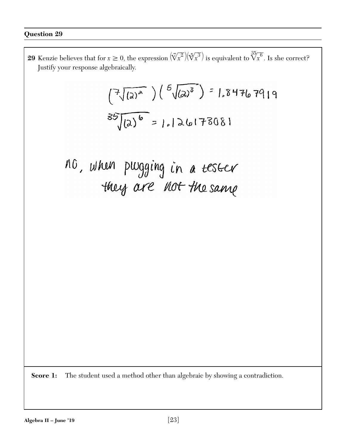|          | Justify your response algebraically.                                       |
|----------|----------------------------------------------------------------------------|
|          | $(7\sqrt{(2)^{2}})(5\sqrt{(2)^{3}}) = 1.84767919$                          |
|          | $35\sqrt{2}$ = 1.26173081                                                  |
|          | no, when pugging in a tester                                               |
|          | they are not the same                                                      |
|          |                                                                            |
|          |                                                                            |
|          |                                                                            |
|          |                                                                            |
|          |                                                                            |
|          |                                                                            |
|          |                                                                            |
|          |                                                                            |
|          |                                                                            |
| Score 1: | The student used a method other than algebraic by showing a contradiction. |
|          |                                                                            |

**29** Kenzie believes that for  $x \ge 0$ , the expression  $(\sqrt[x]{x^2})(\sqrt[5]{x^3})$  is equivalent to  $\sqrt[35]{x^6}$ . Is she correct?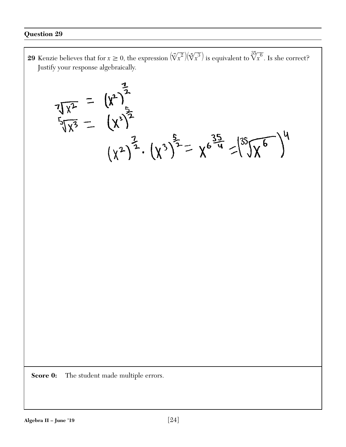**29** Kenzie believes that for  $x \ge 0$ , the expression  $(\sqrt[x]{x^2})(\sqrt[5]{x^3})$  is equivalent to  $\sqrt[35]{x^6}$ . Is she correct? Justify your response algebraically.

 $\frac{1}{\sqrt[3]{x^2}} = (x^2)^{\frac{1}{2}}$ <br> $\frac{1}{\sqrt[5]{x^3}} = (x^3)^{\frac{1}{2}}$  $(x^2)^{\frac{7}{2}} \cdot (x^3)^{\frac{5}{2}} = x^6^{\frac{35}{4}} = (35\sqrt{6})^4$ 

**Score 0:** The student made multiple errors.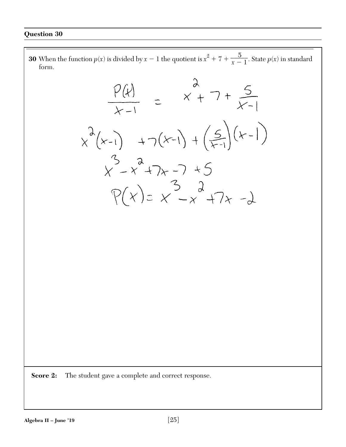$$
\frac{P(k)}{x-1} = x + 7 + \frac{5}{x-1}
$$
  

$$
x^{2}(x-1) + 7(x-1) + (\frac{5}{x-1})(x-1)
$$
  

$$
x^{3} - x^{2} + 7x - 7 + 5
$$
  

$$
P(x) = x^{3} - x^{3} + 7x - 1
$$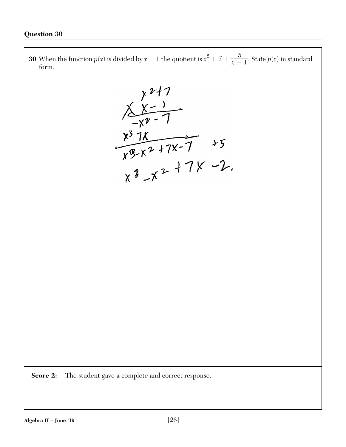$x^{2+7}$ <br>  $x^{2-1}$ <br>  $x^{3} 7x$ <br>  $x^{3} 7x$ <br>  $x^{2}+7x-7$ <br>  $x^{3}$ <br>  $x^{2}+7x-2$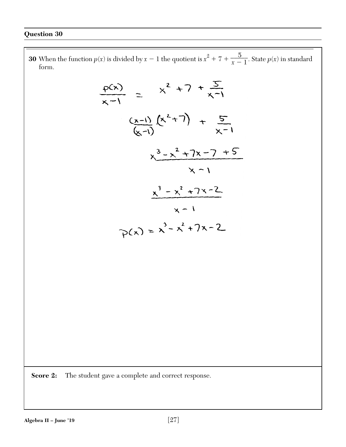$$
\frac{p(x)}{x-1} = x^{2} + 7 + \frac{5}{x-1}
$$
\n
$$
\frac{(x-1)}{(x-1)}(x^{2}+7) + \frac{5}{x-1}
$$
\n
$$
x^{3} - x^{2} + 7x - 7 + 5
$$
\n
$$
x - 1
$$
\n
$$
x^{3} - x^{2} + 7x - 2
$$
\n
$$
x - 1
$$
\n
$$
p(x) = x^{3} - x^{2} + 7x - 2
$$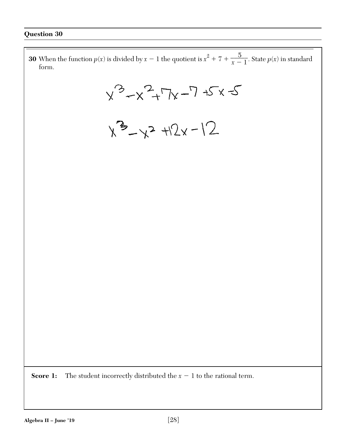**30** When the function  $p(x)$  is divided by  $x - 1$  the quotient is  $x^2 + 7 + \frac{5}{x - 1}$  $\frac{b}{x-1}$ . State  $p(x)$  in standard form.  $x^3 - x^2 + 7x - 7 + 5x - 5$  $x^{3}-x^{2}+2x-12$ **Score 1:** The student incorrectly distributed the  $x - 1$  to the rational term.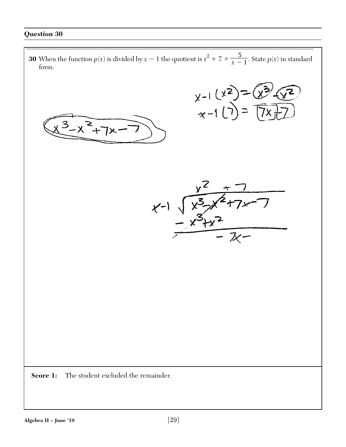

 $\frac{1}{\sqrt{3}}$  $x-1(x^2) =$ <br> $x-1(7) =$ 



**Score 1:** The student excluded the remainder.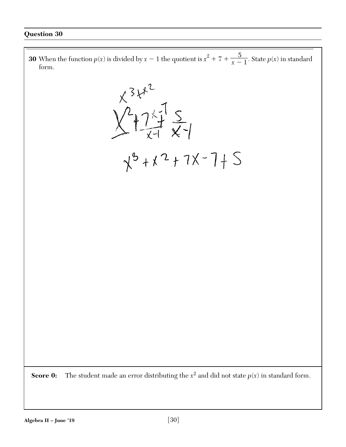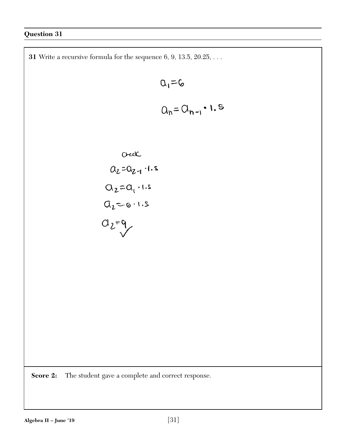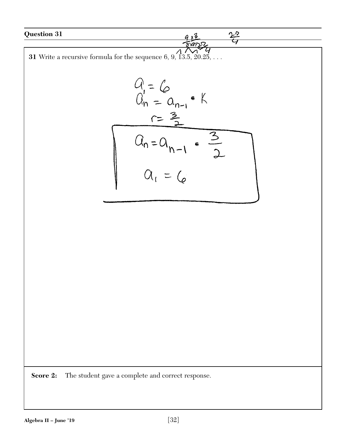**31** Write a recursive formula for the sequence  $6, 9, 13.5, 20.25, \ldots$ 

 $Q_{n} = Q_{n-1}$  o  $R_{n-2} = 1$ <br>  $Q_{n} = Q_{n-1}$  o  $Q_{n} = Q_{n-1}$  o  $Q_{n} = Q_{n}$ 

 $9x^3$  $\overline{\gamma}$   $\gamma$   $rac{2}{3}$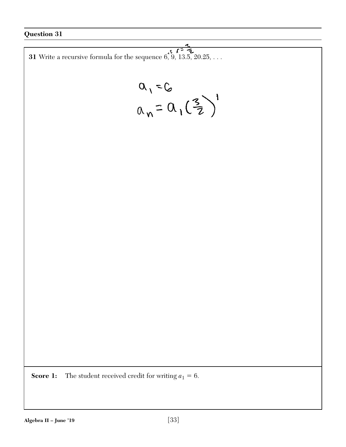**31** Write a recursive formula for the sequence  $6, 9, 13.5, 20.25, \ldots$ 

$$
\alpha_1 = 0
$$
  
 
$$
\alpha_n = \alpha_1 \left(\frac{3}{2}\right)^1
$$

**Score 1:** The student received credit for writing  $a_1 = 6$ .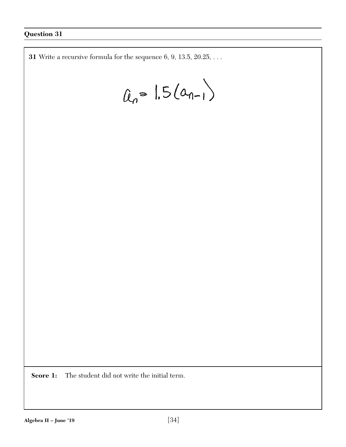**31** Write a recursive formula for the sequence 6, 9, 13.5, 20.25, . . .

 $\hat{u}_{n} = 1.5(a_{n-1})$ 

Score 1: The student did not write the initial term.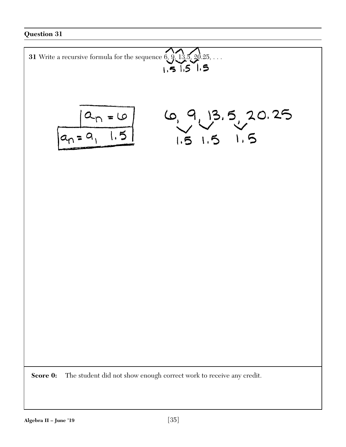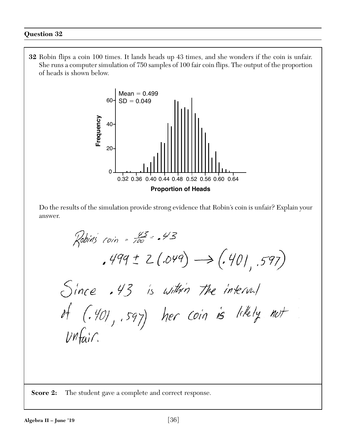**32** Robin flips a coin 100 times. It lands heads up 43 times, and she wonders if the coin is unfair. She runs a computer simulation of 750 samples of 100 fair coin flips. The output of the proportion of heads is shown below.



Do the results of the simulation provide strong evidence that Robin's coin is unfair? Explain your answer.

Robiais coin = 
$$
\frac{15}{100}
$$
 = .43  
\n. 499 ± 2 (.049)  $\rightarrow$  (.401, .597)  
\nSince .43 is within the interval  
\n $\pi$  (.401, .597) her coin is likely not  
\n $10\pi$  in.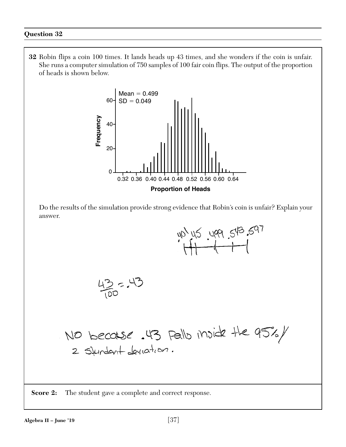**32** Robin flips a coin 100 times. It lands heads up 43 times, and she wonders if the coin is unfair. She runs a computer simulation of 750 samples of 100 fair coin flips. The output of the proportion of heads is shown below.



Do the results of the simulation provide strong evidence that Robin's coin is unfair? Explain your answer.



**Score 2:** The student gave a complete and correct response.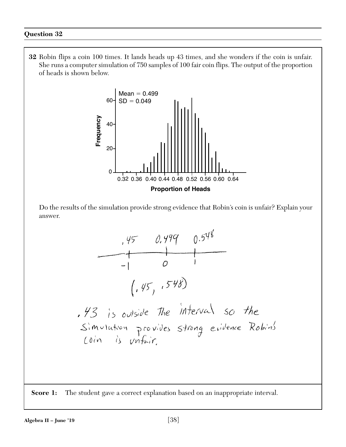**32** Robin flips a coin 100 times. It lands heads up 43 times, and she wonders if the coin is unfair. She runs a computer simulation of 750 samples of 100 fair coin flips. The output of the proportion of heads is shown below.



Do the results of the simulation provide strong evidence that Robin's coin is unfair? Explain your answer.

$$
450.49900.548
$$
\n
$$
-1001
$$
\n
$$
(145, 1548)
$$
\n
$$
430000
$$
\n
$$
145000
$$
\n
$$
(145, 1548)
$$
\n
$$
145000
$$
\n
$$
14500
$$
\n
$$
14500
$$
\n
$$
14500
$$
\n
$$
14500
$$
\n
$$
14500
$$
\n
$$
14500
$$
\n
$$
14500
$$
\n
$$
14500
$$
\n
$$
14500
$$
\n
$$
14500
$$
\n
$$
14500
$$
\n
$$
14500
$$
\n
$$
14500
$$
\n
$$
14500
$$
\n
$$
14500
$$
\n
$$
14500
$$
\n
$$
14500
$$
\n
$$
14500
$$
\n
$$
14500
$$
\n
$$
14500
$$
\n
$$
14500
$$
\n
$$
14500
$$
\n
$$
14500
$$
\n
$$
14500
$$
\n
$$
14500
$$
\n
$$
14500
$$
\n
$$
14500
$$
\n
$$
14500
$$
\n
$$
14500
$$
\n
$$
14500
$$
\n
$$
14500
$$
\n
$$
14500
$$
\n
$$
14500
$$
\n
$$
14500
$$
\n
$$
14500
$$
\n
$$
14500
$$
\n
$$
14500
$$
\n
$$
14500
$$
\n
$$
14500
$$
\n
$$
14500
$$
\n
$$
14500
$$
\n
$$
14500
$$
\n
$$
14500
$$

**Score 1:** The student gave a correct explanation based on an inappropriate interval.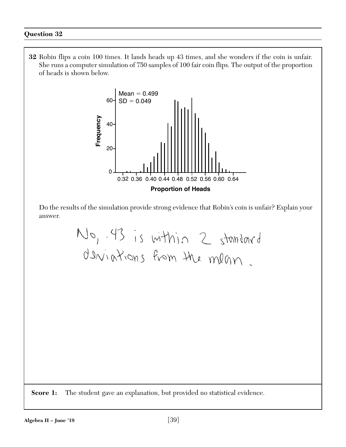**32** Robin flips a coin 100 times. It lands heads up 43 times, and she wonders if the coin is unfair. She runs a computer simulation of 750 samples of 100 fair coin flips. The output of the proportion of heads is shown below.



Do the results of the simulation provide strong evidence that Robin's coin is unfair? Explain your answer.

No, 43 is within 2 standard<br>davigtions from the megn.

**Score 1:** The student gave an explanation, but provided no statistical evidence.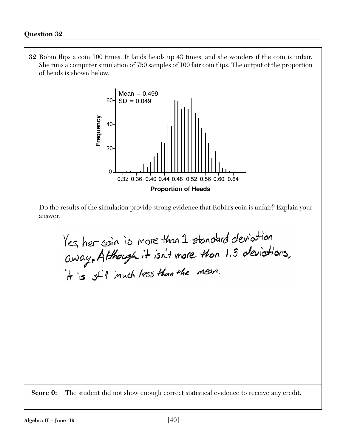**32** Robin flips a coin 100 times. It lands heads up 43 times, and she wonders if the coin is unfair. She runs a computer simulation of 750 samples of 100 fair coin flips. The output of the proportion of heads is shown below.



Do the results of the simulation provide strong evidence that Robin's coin is unfair? Explain your answer.

Yes, her coin is more than 1 standard deviation<br>away, Although it isn't more than 1.5 deviations,

**Score 0:** The student did not show enough correct statistical evidence to receive any credit.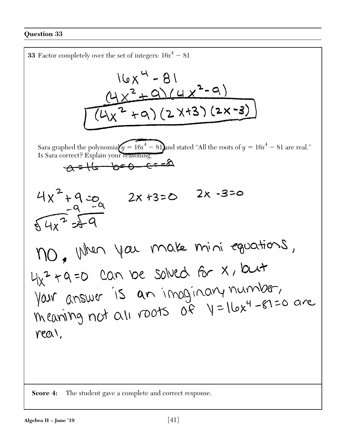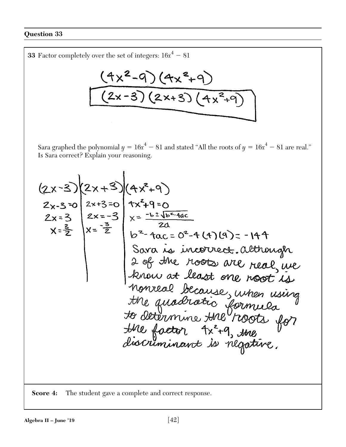**33** Factor completely over the set of integers:  $16x^4 - 81$  $(4x^2-9)(4x^2+9)$ <br> $(2x-3)(2x+3)(4x^2+9)$ Sara graphed the polynomial  $y = 16x^4 - 81$  and stated "All the roots of  $y = 16x^4 - 81$  are real." Is Sara correct? Explain your reasoning. (2x-3)  $(2x+3)(4x^2+9)$ <br>  $2x-3=0$   $2x+3=0$   $4x^2+9=0$ <br>  $2x=3$   $2x=-3$   $x=\frac{-b+1b-4ac}{2a}$ <br>  $x=\frac{3}{2}$   $b^2-4ac=0^2-4(4)(9)=-144$ <br>
Sava is incorrect. although<br>
2 of the roots are need, we<br>
2 of the roots are need is<br>
the quadrati

**Score 4:** The student gave a complete and correct response.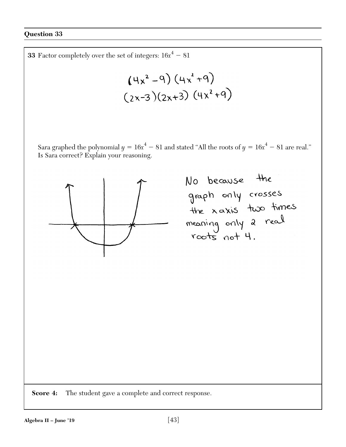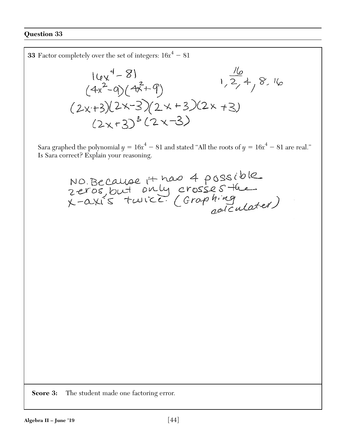**33** Factor completely over the set of integers:  $16x^4 - 81$  $\frac{16}{1,2,4,8.16}$  $10v^4 - 81$  $(4x^2-q)(4x^2+9)$  $(2x+3)(2x-3)(2x+3)(2x+3)$  $(2x+3)^{3}(2x-3)$ Sara graphed the polynomial  $y = 16x^4 - 81$  and stated "All the roots of  $y = 16x^4 - 81$  are real." Is Sara correct? Explain your reasoning. NO. Because it has 4 possible<br>2 eros but only crosses the<br>x-axis twice (Graphing **Score 3:** The student made one factoring error.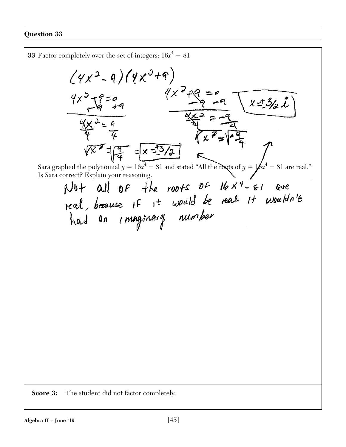| <b>33</b> Factor completely over the set of integers: $16x^4 - 81$                                                                                                                                                                                                                                                                                               |
|------------------------------------------------------------------------------------------------------------------------------------------------------------------------------------------------------------------------------------------------------------------------------------------------------------------------------------------------------------------|
| $(4x^2 - 9)(4x^3 + 9)$<br>$x^7$<br>$4x^3$<br>$x = 3/2 l$<br>$= x = \frac{13}{2}$<br>Sara graphed the polynomial $y = 16x^4 - 81$ and stated "All the roots of $y = \cancel{b}x^4 - 81$ are real."<br>Is Sara correct? Explain your reasoning.<br>NOt all OF the roots of 16x4-81 are<br>real, because if it would be real it wouldn't<br>had an imaginary number |
| The student did not factor completely.<br>Score 3:                                                                                                                                                                                                                                                                                                               |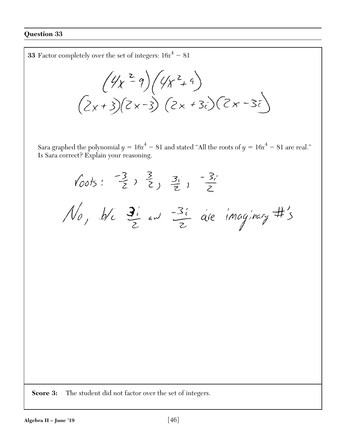**33** Factor completely over the set of integers:  $16x^4 - 81$  $(4x^{2}-9)(4x^{2}+9)$  $(2x+3)(2x-3)(2x+3i)(2x-3i)$ Sara graphed the polynomial  $y = 16x^4 - 81$  and stated "All the roots of  $y = 16x^4 - 81$  are real." Is Sara correct? Explain your reasoning.  $\frac{3}{2}$   $\frac{3}{2}$   $\frac{3}{2}$   $\frac{3}{2}$   $\frac{3}{2}$   $\frac{-3}{2}$  $\mathcal{N}_{0}$ , b/c  $\frac{3i}{2}$  and  $\frac{-3i}{2}$  are imaginary #'s **Score 3:** The student did not factor over the set of integers.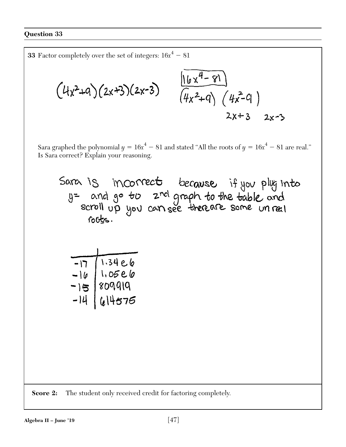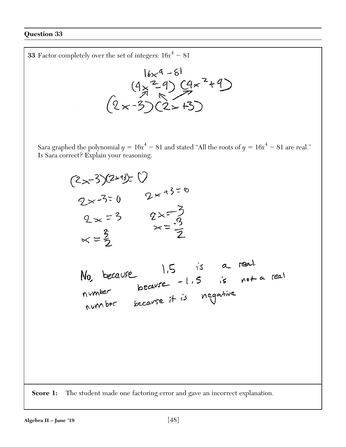**33** Factor completely over the set of integers:  $16x^4 - 81$  $16x^4 - 61$  $(4 \times 29)$   $(4 \times 79)$ <br> $(2 \times 3)(2 \times 5)$ Sara graphed the polynomial  $y = 16x^4 - 81$  and stated "All the roots of  $y = 16x^4 - 81$  are real." Is Sara correct? Explain your reasoning.  $(2x-3)(2+1)=0$ <br>  $2x-3=0$ <br>  $2x=3$ <br>  $2x=-3$ <br>  $x=\frac{5}{2}$ <br>  $x=\frac{5}{2}$ No because 1.5 is a realisment and

**Score 1:** The student made one factoring error and gave an incorrect explanation.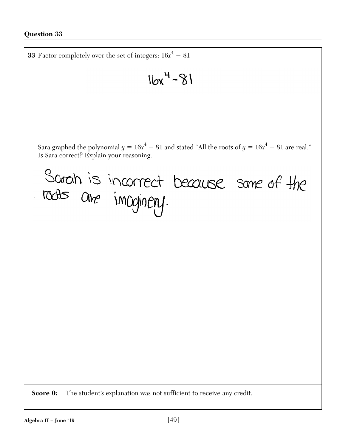**33** Factor completely over the set of integers:  $16x^4 - 81$  $16x^4 - 81$ Sara graphed the polynomial  $y = 16x^4 - 81$  and stated "All the roots of  $y = 16x^4 - 81$  are real." Is Sara correct? Explain your reasoning. Sarah is incorrect because some of the<br>roots are imaginery. **Score 0:** The student's explanation was not sufficient to receive any credit.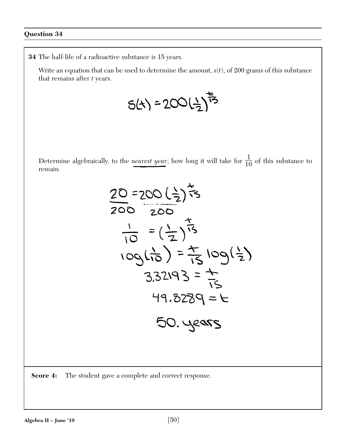**34** The half-life of a radioactive substance is 15 years.

Write an equation that can be used to determine the amount, *s*(*t*), of 200 grams of this substance that remains after *t* years.

$$
5(1) = 200\left(\frac{1}{2}\right)^{\frac{1}{15}}
$$

Determine algebraically, to the *nearest year*, how long it will take for  $\frac{1}{10}$  of this substance to remain.



**Score 4:** The student gave a complete and correct response.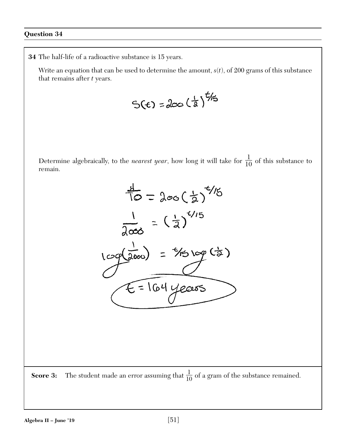**34** The half-life of a radioactive substance is 15 years.

Write an equation that can be used to determine the amount, *s*(*t*), of 200 grams of this substance that remains after *t* years.

$$
S(t) = 200(\frac{1}{2})^{t/15}
$$

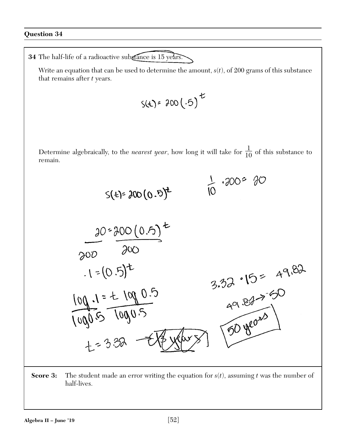**34** The half-life of a radioactive substance is 15 years.

Write an equation that can be used to determine the amount, *s*(*t*), of 200 grams of this substance that remains after *t* years.

$$
(t) = 200(.5)^{t}
$$

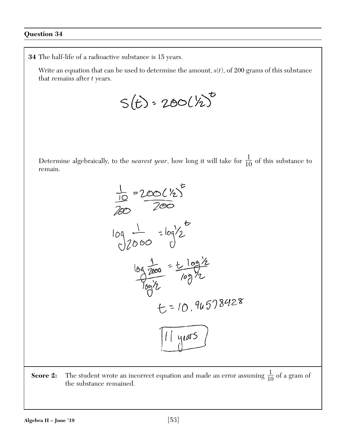**34** The half-life of a radioactive substance is 15 years.

Write an equation that can be used to determine the amount, *s*(*t*), of 200 grams of this substance that remains after *t* years.

$$
S(t) = 200(12)^{t}
$$

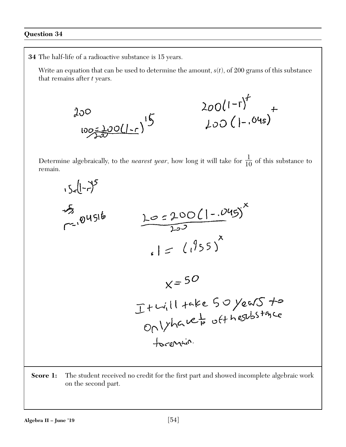**34** The half-life of a radioactive substance is 15 years.

Write an equation that can be used to determine the amount, *s*(*t*), of 200 grams of this substance that remains after *t* years.



 $200(1-r)^{r}$ <br> $100(1-.04s)$ 

Determine algebraically, to the *nearest year*, how long it will take for  $\frac{1}{10}$  of this substance to remain.



**Score 1:** The student received no credit for the first part and showed incomplete algebraic work on the second part.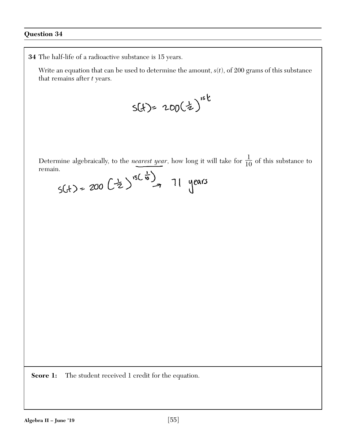**34** The half-life of a radioactive substance is 15 years.

Write an equation that can be used to determine the amount, *s*(*t*), of 200 grams of this substance that remains after *t* years.

$$
S(+) = 200(\frac{1}{2})^{15^{1}}
$$

Determine algebraically, to the *nearest year*, how long it will take for  $\frac{1}{10}$  of this substance to

remain.<br> $5(+) = 200(\frac{1}{2})^{15(\frac{1}{10})} \rightarrow 71$  years

**Score 1:** The student received 1 credit for the equation.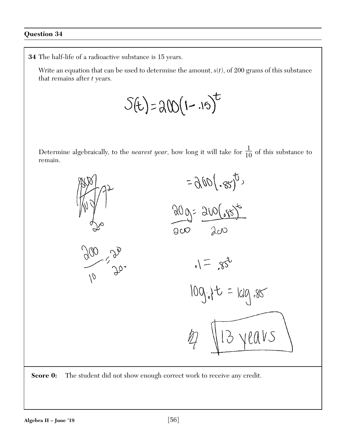**34** The half-life of a radioactive substance is 15 years.

Write an equation that can be used to determine the amount, *s*(*t*), of 200 grams of this substance that remains after *t* years.

$$
S(t)=200(1-.15)^{t}
$$

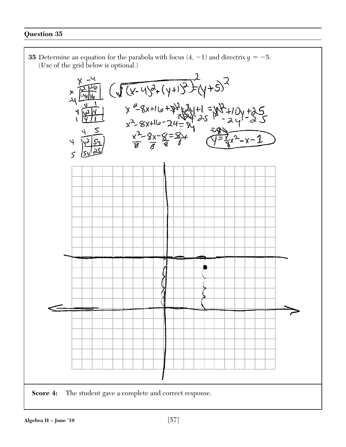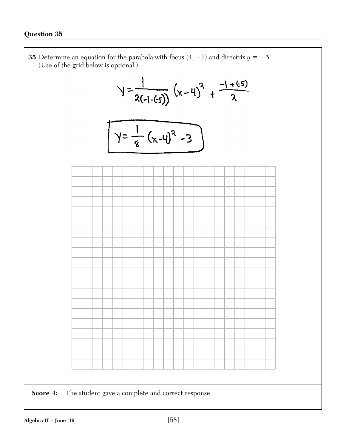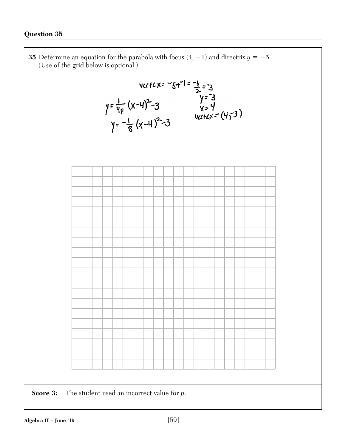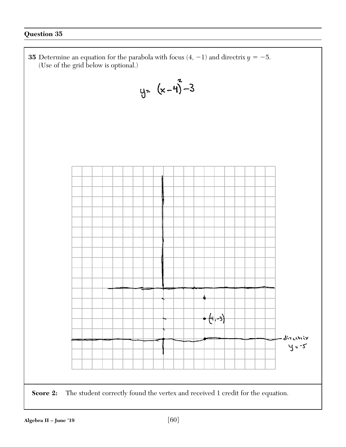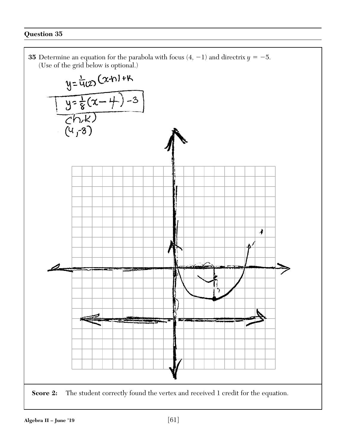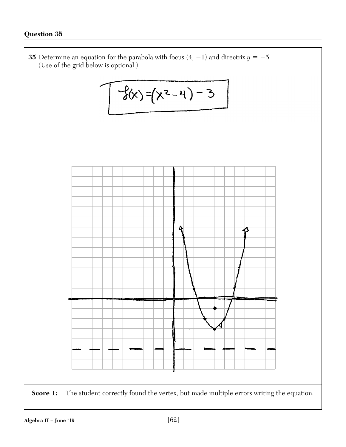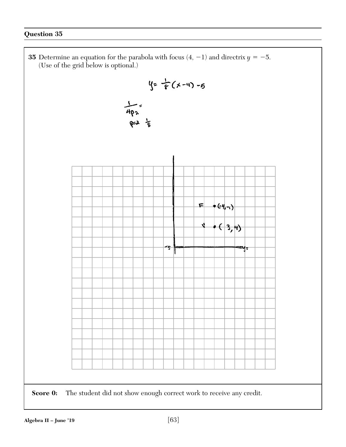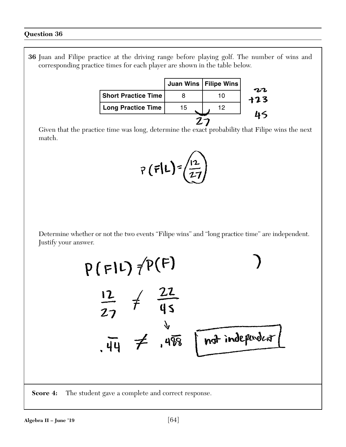**36** Juan and Filipe practice at the driving range before playing golf. The number of wins and corresponding practice times for each player are shown in the table below.

|                            |    | Juan Wins   Filipe Wins | าภ |
|----------------------------|----|-------------------------|----|
| <b>Short Practice Time</b> |    |                         | 23 |
| <b>Long Practice Time</b>  | 15 |                         |    |
|                            |    |                         |    |

Given that the practice time was long, determine the exact probability that Filipe wins the next match.

$$
P(F|L) = \left(\frac{12}{27}\right)
$$

Determine whether or not the two events "Filipe wins" and "long practice time" are independent. Justify your answer.

P (F|L) 
$$
\neq
$$
 P (F)  
\n
$$
\frac{12}{27} \neq \frac{22}{45}
$$
\n
$$
\frac{14}{498} \underbrace{\frac{12}{1000} \underbrace{\frac{12}{1000}}}_{\text{Score 4: The student gave a complete and correct response.}}
$$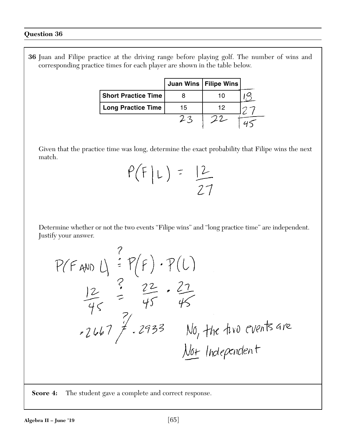**36** Juan and Filipe practice at the driving range before playing golf. The number of wins and corresponding practice times for each player are shown in the table below.

|                            |    | Juan Wins   Filipe Wins |  |
|----------------------------|----|-------------------------|--|
| <b>Short Practice Time</b> |    |                         |  |
| <b>Long Practice Time</b>  | 15 | 12                      |  |
|                            |    |                         |  |

Given that the practice time was long, determine the exact probability that Filipe wins the next match.

$$
P(F|L) = \frac{12}{27}
$$

Determine whether or not the two events "Filipe wins" and "long practice time" are independent. Justify your answer.

$$
P(FawO U) = P(F) \cdot P(U)
$$
\n
$$
\frac{12}{45} = \frac{22}{45} \cdot \frac{22}{45}
$$
\n
$$
P(WO U) = \frac{12}{45} \cdot \frac{22}{45}
$$
\n
$$
P(WO V) = \frac{12}{45} \cdot \frac{22}{45}
$$
\n
$$
P(WO V) = \frac{12}{45}
$$
\n
$$
P(WO V) = \frac{12}{45}
$$
\n
$$
P(WO V) = \frac{12}{45}
$$
\n
$$
P(WO V) = \frac{12}{45}
$$
\n
$$
P(WO V) = \frac{12}{45}
$$
\n
$$
P(WO V) = \frac{12}{45}
$$
\n
$$
P(WO V) = \frac{12}{45}
$$
\n
$$
P(WO V) = \frac{12}{45}
$$
\n
$$
P(WO V) = \frac{12}{45}
$$
\n
$$
P(WO V) = \frac{12}{45}
$$
\n
$$
P(WO V) = \frac{12}{45}
$$
\n
$$
P(WO V) = \frac{12}{45}
$$
\n
$$
P(WO V) = \frac{12}{45}
$$
\n
$$
P(WO V) = \frac{12}{45}
$$
\n
$$
P(WO V) = \frac{12}{45}
$$
\n
$$
P(WO V) = \frac{12}{45}
$$
\n
$$
P(WO V) = \frac{12}{45}
$$
\n
$$
P(WO V) = \frac{12}{45}
$$
\n
$$
P(WO V) = \frac{12}{45}
$$
\n
$$
P(WO V) = \frac{12}{45}
$$
\n
$$
P(WO V) = \frac{12}{45}
$$
\n
$$
P(WO V) = \frac{12}{45}
$$
\n
$$
P(WO V) = \frac{12}{45}
$$
\n
$$
P(WO V) = \frac{12}{45}
$$
\n
$$
P(WO V) = \frac{12}{45}
$$
\n
$$
P(WO V) = \frac{12}{45}
$$
\n
$$
P(WO
$$

**Score 4:** The student gave a complete and correct response.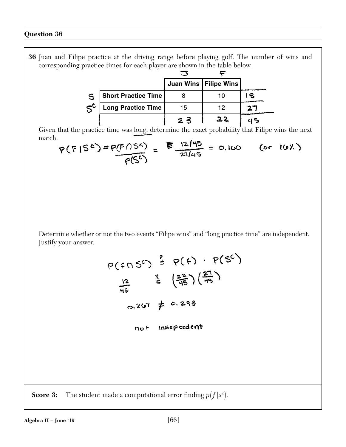**36** Juan and Filipe practice at the driving range before playing golf. The number of wins and corresponding practice times for each player are shown in the table below.

|                  |                            |    | Juan Wins   Filipe Wins |  |
|------------------|----------------------------|----|-------------------------|--|
| $\mathbb{S}$     | <b>Short Practice Time</b> |    | 10                      |  |
| $S^{\mathsf{c}}$ | <b>Long Practice Time</b>  | 15 | 12                      |  |
|                  |                            |    |                         |  |

Given that the practice time was long, determine the exact probability that Filipe wins the next match.  $\mathbf{r}$  $\overline{\phantom{0}}$ 

$$
P(F|S^c) = P(F \wedge S^c) = \frac{12/45}{27/45} = 0.160
$$
 (or 16%)

Determine whether or not the two events "Filipe wins" and "long practice time" are independent. Justify your answer.

$$
P(505^{\circ}) \stackrel{?}{=} P(5) \cdot P(5^{c})
$$
  
\n $\frac{12}{45}$   $\frac{2}{5}$   $(\frac{22}{45})(\frac{27}{45})$   
\n $0.267 \neq 0.293$ 

Independent  $no<sup>k</sup>$ 

**Score 3:** The student made a computational error finding  $p(f|s^c)$ .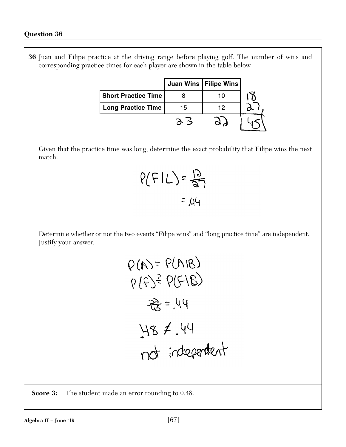**36** Juan and Filipe practice at the driving range before playing golf. The number of wins and corresponding practice times for each player are shown in the table below.

|                            |    | Juan Wins   Filipe Wins |  |
|----------------------------|----|-------------------------|--|
| <b>Short Practice Time</b> |    |                         |  |
| <b>Long Practice Time</b>  | 15 | 12                      |  |
|                            |    |                         |  |

Given that the practice time was long, determine the exact probability that Filipe wins the next match.



Determine whether or not the two events "Filipe wins" and "long practice time" are independent. Justify your answer.



**Score 3:** The student made an error rounding to 0.48.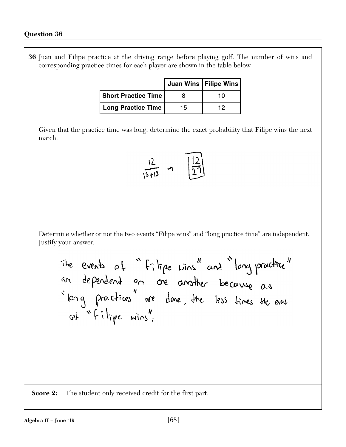**36** Juan and Filipe practice at the driving range before playing golf. The number of wins and corresponding practice times for each player are shown in the table below.

|                            |    | Juan Wins   Filipe Wins |
|----------------------------|----|-------------------------|
| <b>Short Practice Time</b> |    | 10                      |
| <b>Long Practice Time</b>  | 15 | 1 2                     |

Given that the practice time was long, determine the exact probability that Filipe wins the next match.

$$
\frac{12}{15+12} \rightarrow \frac{12}{27}
$$

Determine whether or not the two events "Filipe wins" and "long practice time" are independent. Justify your answer.

The events of "filipe wins" and "long practice"<br>are dependent on one another because as<br>"long practices" are done, the less times the event of  $\sqrt[n]{\pi}$   $\lim_{n \to \infty} \frac{1}{n}$ 

**Score 2:** The student only received credit for the first part.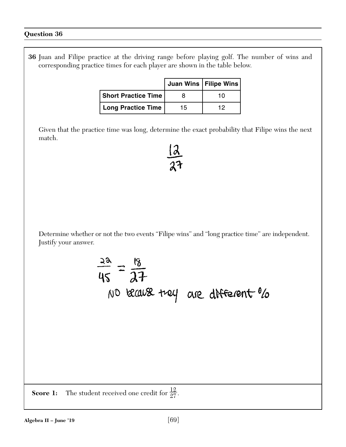**36** Juan and Filipe practice at the driving range before playing golf. The number of wins and corresponding practice times for each player are shown in the table below.

|                            |    | Juan Wins   Filipe Wins |
|----------------------------|----|-------------------------|
| <b>Short Practice Time</b> |    | 10                      |
| <b>Long Practice Time</b>  | 15 | 12                      |

Given that the practice time was long, determine the exact probability that Filipe wins the next match.

Determine whether or not the two events "Filipe wins" and "long practice time" are independent. Justify your answer.

$$
\frac{2a}{45} = \frac{18}{21}
$$
  
No leaves *top* are different 0/0

**Score 1:** The student received one credit for  $\frac{12}{27}$ .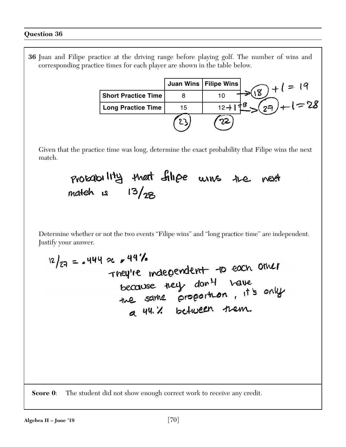**36** Juan and Filipe practice at the driving range before playing golf. The number of wins and corresponding practice times for each player are shown in the table below.

|                            |    | Juan Wins   Filipe Wins | $= 19$                      |
|----------------------------|----|-------------------------|-----------------------------|
| <b>Short Practice Time</b> |    | 10                      | U                           |
| <b>Long Practice Time</b>  | 15 | $12 +$                  | $z_{2}$ + $z_{2}$ + $z_{3}$ |
|                            |    |                         |                             |

Given that the practice time was long, determine the exact probability that Filipe wins the next match.

> probability that filipe wins the next match is  $13/28$

Determine whether or not the two events "Filipe wins" and "long practice time" are independent. Justify your answer.

$$
12_{27} = .444 \approx .44\%
$$
  
12\_{127} = .444 = .14\%  
12\_{128} = .444\%12\_{129} = .44\%12\_{120} = .44\%12\_{120} = .44\%12\_{120} = .44\%12\_{120} = .44\%  
12\_{120} = .44\%  
12\_{120} = .44\%  
12\_{120} = .44\%  
12\_{120} = .44\%  
12\_{120} = .44\%  
12\_{120} = .44\%  
12\_{120} = .44\%  
12\_{120} = .44\%  
12\_{120} = .44\%  
12\_{120} = .44\%  
12\_{120} = .44\%  
12\_{120} = .44\%  
12\_{120} = .44\%  
12\_{120} = .44\%  
12\_{120} = .44\%  
12\_{120} = .44\%  
12\_{120} = .44\%  
12\_{120} = .44\%  
12\_{120} = .44\%  
12\_{120} = .44\%  
12\_{120} = .44\%  
12\_{120} = .44\%  
12\_{120} = .44\%  
12\_{120} = .44\%  
12\_{120} = .44\%  
12\_{120} = .44\%  
12\_{120} = .44\%  
12\_{120} = .44\%  
12\_{120} = .44\%  
12\_{120} = .44\%  
12\_{120} = .44\%  
12\_{120} = .44\%  
12\_{120} = .44\%  
12\_{120} = .44\%  
12\_{120} = .44\%  
12\_{120} = .44\%  
12\_{120

**Score 0:** The student did not show enough correct work to receive any credit.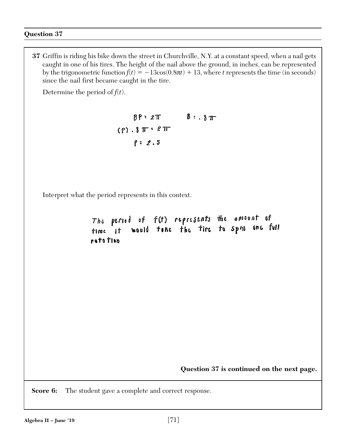**37** Griffin is riding his bike down the street in Churchville, N.Y. at a constant speed, when a nail gets caught in one of his tires. The height of the nail above the ground, in inches, can be represented by the trigonometric function  $f(t) = -13\cos(0.8\pi t) + 13$ , where *t* represents the time (in seconds) since the nail first became caught in the tire. Determine the period of  $f(t)$ .

> $BP: 2T$   $B: 3T$  $(P) . 8 \pi : 2 \pi$  $P: 2.5$

Interpret what the period represents in this context.

The period of f(t) represents the amount of<br>time it would take the tire to spin one full rata tien

**Question 37 is continued on the next page.**

**Score 6:** The student gave a complete and correct response.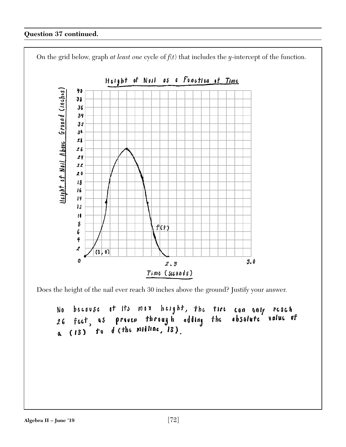# **Question 37 continued.**



Does the height of the nail ever reach 30 inches above the ground? Justify your answer.

at its max beight, the tire can only reach  $b$ *e* c  $a$  v  $s$  c No 26 fect, as prives through adding the<br>a (13) to d (the milline, 13). absolute value of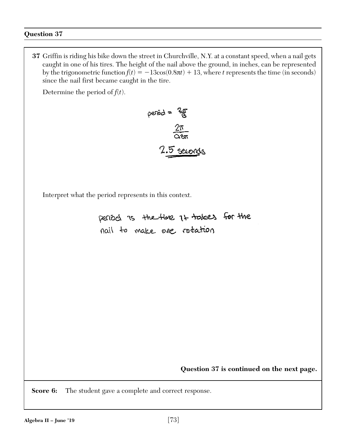**37** Griffin is riding his bike down the street in Churchville, N.Y. at a constant speed, when a nail gets caught in one of his tires. The height of the nail above the ground, in inches, can be represented by the trigonometric function  $f(t) = -13\cos(0.8\pi t) + 13$ , where *t* represents the time (in seconds) since the nail first became caught in the tire. Determine the period of  $f(t)$ .  $period = \frac{2\pi}{3}$ 

 $\frac{2\pi}{\Omega 8\pi}$ 

2.5 seconds

Interpret what the period represents in this context.

periods is the fine it takes for the nail to make one rotation

**Question 37 is continued on the next page.**

**Score 6:** The student gave a complete and correct response.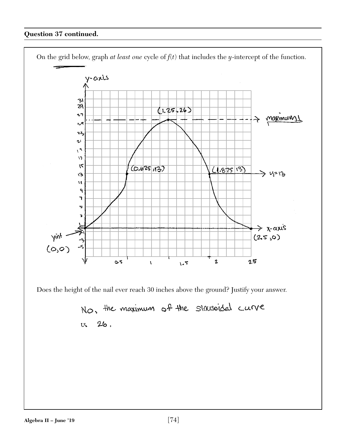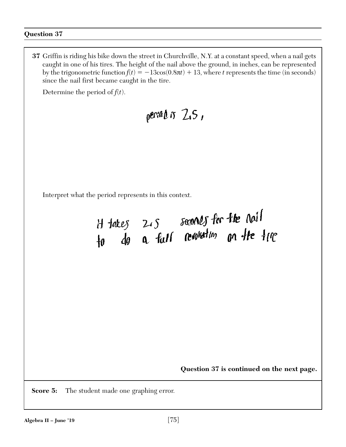**37** Griffin is riding his bike down the street in Churchville, N.Y. at a constant speed, when a nail gets caught in one of his tires. The height of the nail above the ground, in inches, can be represented by the trigonometric function  $f(t) = -13\cos(0.8\pi t) + 13$ , where *t* represents the time (in seconds) since the nail first became caught in the tire.

Determine the period of  $f(t)$ .

$$
\int \rho \, \text{curl} \, \text{d} \, \sigma \, \text{2.5.}
$$

Interpret what the period represents in this context.

**Question 37 is continued on the next page.**

**Score 5:** The student made one graphing error.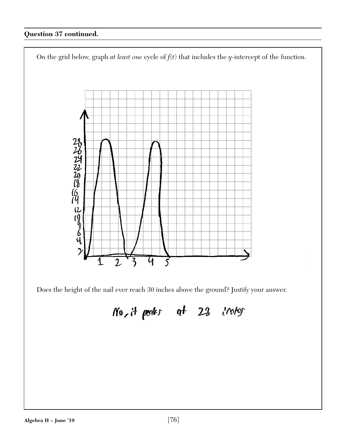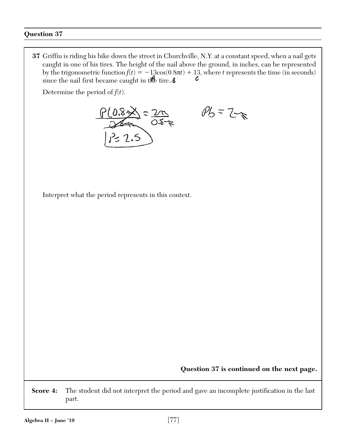**37** Griffin is riding his bike down the street in Churchville, N.Y. at a constant speed, when a nail gets caught in one of his tires. The height of the nail above the ground, in inches, can be represented by the trigonometric function  $f(t) = -13\cos(0.8\pi t) + 13$ , where *t* represents the time (in seconds) since the nail first became caught in the tire.  $\beta$  $\epsilon$ 

Determine the period of  $f(t)$ .



Interpret what the period represents in this context.

**Question 37 is continued on the next page.**

**Score 4:** The student did not interpret the period and gave an incomplete justification in the last part.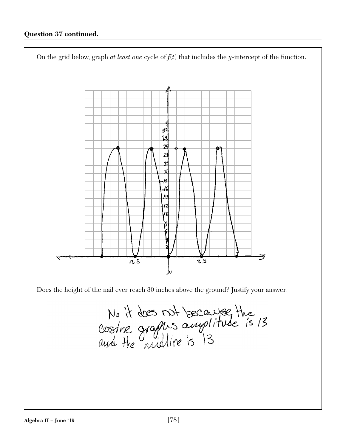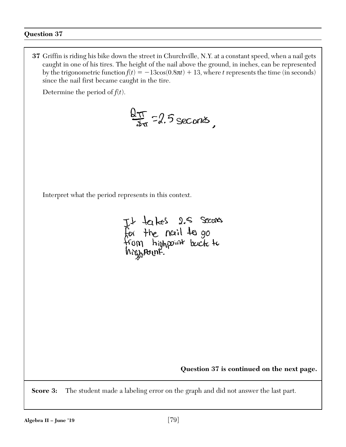**37** Griffin is riding his bike down the street in Churchville, N.Y. at a constant speed, when a nail gets caught in one of his tires. The height of the nail above the ground, in inches, can be represented by the trigonometric function  $f(t) = -13\cos(0.8\pi t) + 13$ , where *t* represents the time (in seconds) since the nail first became caught in the tire.

Determine the period of  $f(t)$ .

 $\frac{\Delta T}{\Delta T}$  = 2.5 seconds

Interpret what the period represents in this context.

It takes 2.5 secons<br>For the noril to go<br>from highpoint back to<br>highpoint.

**Question 37 is continued on the next page.**

**Score 3:** The student made a labeling error on the graph and did not answer the last part.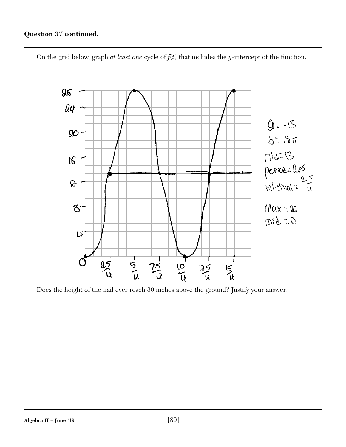

Does the height of the nail ever reach 30 inches above the ground? Justify your answer.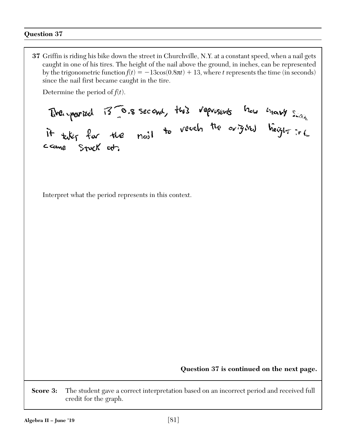**37** Griffin is riding his bike down the street in Churchville, N.Y. at a constant speed, when a nail gets caught in one of his tires. The height of the nail above the ground, in inches, can be represented by the trigonometric function  $f(t) = -13\cos(0.8\pi t) + 13$ , where *t* represents the time (in seconds) since the nail first became caught in the tire.

Determine the period of  $f(t)$ .

The pointed 13 G.s second, this represents them thank since. ccane Stuck cot

Interpret what the period represents in this context.

**Question 37 is continued on the next page.**

**Score 3:** The student gave a correct interpretation based on an incorrect period and received full credit for the graph.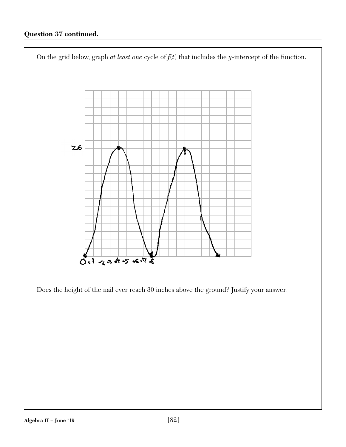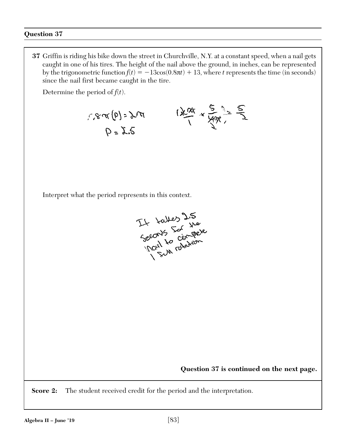**37** Griffin is riding his bike down the street in Churchville, N.Y. at a constant speed, when a nail gets caught in one of his tires. The height of the nail above the ground, in inches, can be represented by the trigonometric function  $f(t) = -13\cos(0.8\pi t) + 13$ , where *t* represents the time (in seconds) since the nail first became caught in the tire.

Determine the period of  $f(t)$ .

$$
6=2.2
$$
  $\frac{1}{2}$   $\frac{1}{2}$   $\frac{1}{2}$   $\frac{1}{2}$   $\frac{1}{2}$   $\frac{1}{2}$   $\frac{1}{2}$   $\frac{1}{2}$   $\frac{1}{2}$ 

Interpret what the period represents in this context.



**Question 37 is continued on the next page.**

**Score 2:** The student received credit for the period and the interpretation.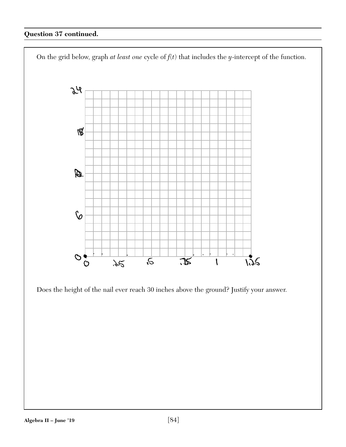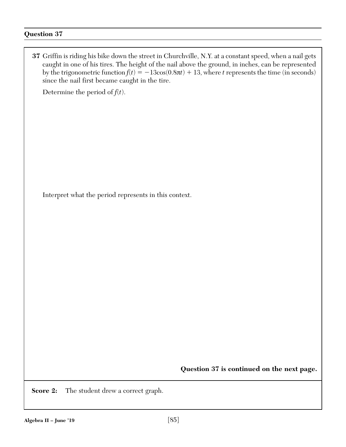| 37 Griffin is riding his bike down the street in Churchville, N.Y. at a constant speed, when a nail gets<br>caught in one of his tires. The height of the nail above the ground, in inches, can be represented<br>by the trigonometric function $f(t) = -13\cos(0.8\pi t) + 13$ , where t represents the time (in seconds)<br>since the nail first became caught in the tire. |
|-------------------------------------------------------------------------------------------------------------------------------------------------------------------------------------------------------------------------------------------------------------------------------------------------------------------------------------------------------------------------------|
| Determine the period of $f(t)$ .                                                                                                                                                                                                                                                                                                                                              |
|                                                                                                                                                                                                                                                                                                                                                                               |
|                                                                                                                                                                                                                                                                                                                                                                               |
| Interpret what the period represents in this context.                                                                                                                                                                                                                                                                                                                         |
|                                                                                                                                                                                                                                                                                                                                                                               |
|                                                                                                                                                                                                                                                                                                                                                                               |
|                                                                                                                                                                                                                                                                                                                                                                               |
|                                                                                                                                                                                                                                                                                                                                                                               |
| Question 37 is continued on the next page.                                                                                                                                                                                                                                                                                                                                    |

**Score 2:** The student drew a correct graph.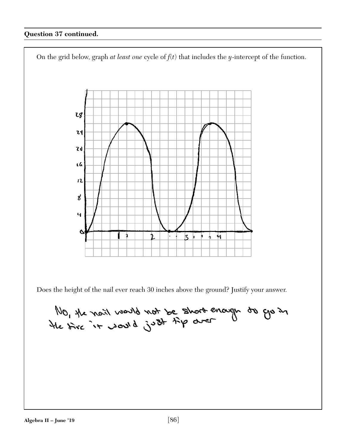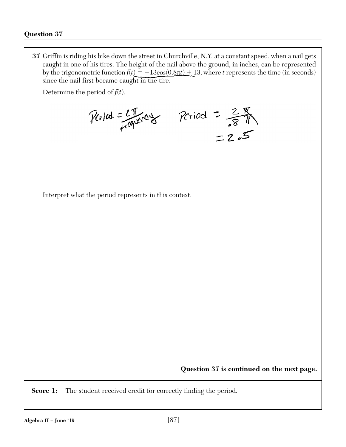**37** Griffin is riding his bike down the street in Churchville, N.Y. at a constant speed, when a nail gets caught in one of his tires. The height of the nail above the ground, in inches, can be represented by the trigonometric function  $f(t) = -13\cos(0.8\pi t) + 13$ , where *t* represents the time (in seconds) since the nail first became caught in the tire.

Determine the period of  $f(t)$ .

Period =  $2\pi$ <br> $= 2\pi$ <br> $= 2.5$ 

Interpret what the period represents in this context.

**Question 37 is continued on the next page.**

**Score 1:** The student received credit for correctly finding the period.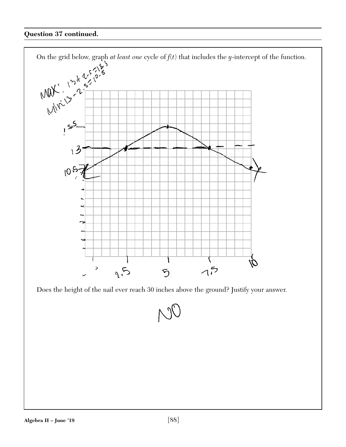

Does the height of the nail ever reach 30 inches above the ground? Justify your answer.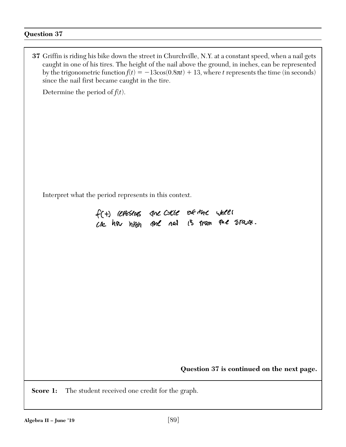**37** Griffin is riding his bike down the street in Churchville, N.Y. at a constant speed, when a nail gets caught in one of his tires. The height of the nail above the ground, in inches, can be represented by the trigonometric function  $f(t) = -13\cos(0.8\pi t) + 13$ , where *t* represents the time (in seconds) since the nail first became caught in the tire. Determine the period of  $f(t)$ . Interpret what the period represents in this context. f(+) reposed the code of the wheel **Question 37 is continued on the next page.Score 1:** The student received one credit for the graph.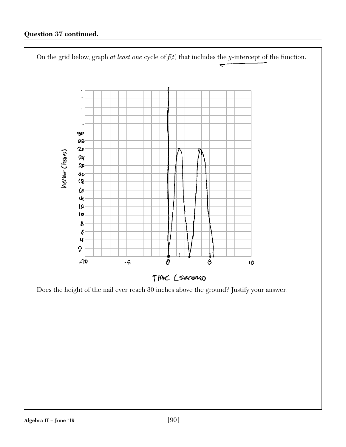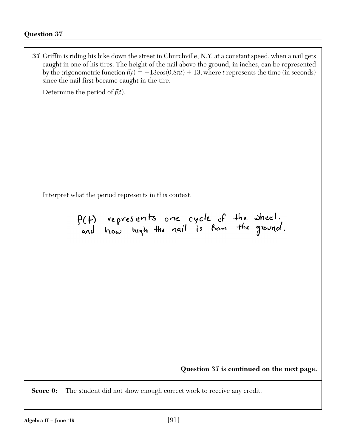**37** Griffin is riding his bike down the street in Churchville, N.Y. at a constant speed, when a nail gets caught in one of his tires. The height of the nail above the ground, in inches, can be represented by the trigonometric function  $f(t) = -13\cos(0.8\pi t) + 13$ , where *t* represents the time (in seconds) since the nail first became caught in the tire. Determine the period of  $f(t)$ . Interpret what the period represents in this context. f(t) represents one cycle of the wheel.<br>and how high the nail is from the ground. **Question 37 is continued on the next page.Score 0:** The student did not show enough correct work to receive any credit. **Algebra II – June '19** [91]